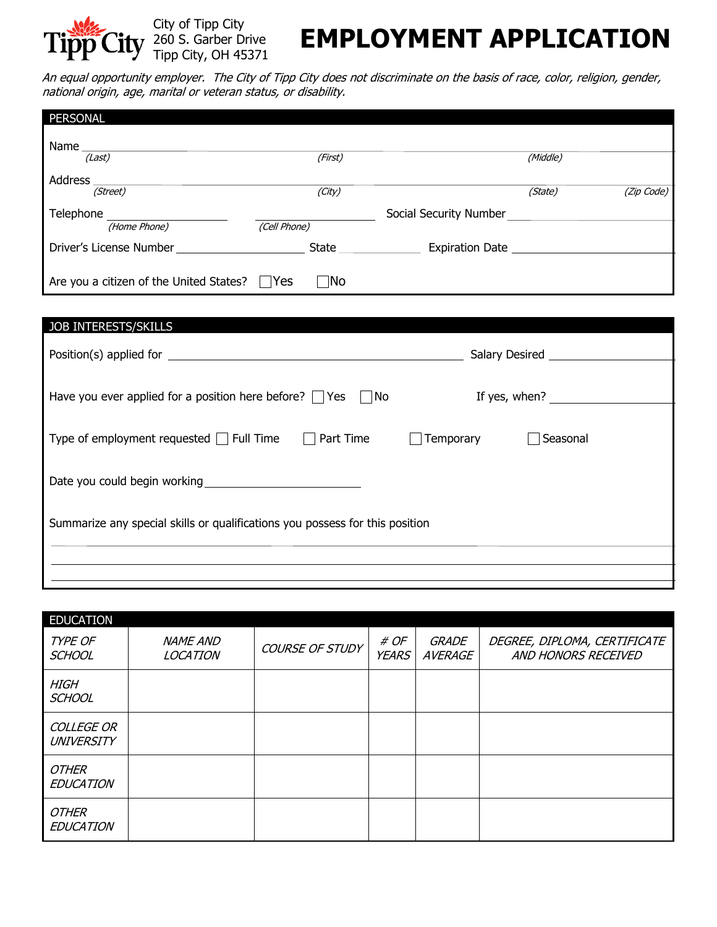

## **EMPLOYMENT APPLICATION**

An equal opportunity employer. The City of Tipp City does not discriminate on the basis of race, color, religion, gender, national origin, age, marital or veteran status, or disability.

| <b>PERSONAL</b>                             |              |                        |          |            |
|---------------------------------------------|--------------|------------------------|----------|------------|
| Name                                        |              |                        |          |            |
| (Last)                                      | (First)      |                        | (Middle) |            |
| Address                                     |              |                        |          |            |
| (Street)                                    | (City)       |                        | (State)  | (Zip Code) |
| Telephone                                   |              | Social Security Number |          |            |
| (Home Phone)                                | (Cell Phone) |                        |          |            |
| Driver's License Number                     | State __     | <b>Expiration Date</b> |          |            |
|                                             |              |                        |          |            |
| Are you a citizen of the United States? Yes | $\neg$ No    |                        |          |            |
|                                             |              |                        |          |            |

| <b>JOB INTERESTS/SKILLS</b>                                                                                  |               |  |  |
|--------------------------------------------------------------------------------------------------------------|---------------|--|--|
|                                                                                                              |               |  |  |
|                                                                                                              |               |  |  |
| Have you ever applied for a position here before? $\Box$ Yes $\Box$ No                                       | If yes, when? |  |  |
|                                                                                                              |               |  |  |
| Part Time<br>Temporary<br>Type of employment requested $\vert \vert$ Full Time<br>Seasonal<br>$\mathbb{R}^n$ |               |  |  |
|                                                                                                              |               |  |  |
| Date you could begin working                                                                                 |               |  |  |
|                                                                                                              |               |  |  |
| Summarize any special skills or qualifications you possess for this position                                 |               |  |  |
|                                                                                                              |               |  |  |
|                                                                                                              |               |  |  |
|                                                                                                              |               |  |  |

| <b>EDUCATION</b>                |                                    |                 |                      |                  |                                                     |
|---------------------------------|------------------------------------|-----------------|----------------------|------------------|-----------------------------------------------------|
| TYPE OF<br><b>SCHOOL</b>        | <b>NAME AND</b><br><b>LOCATION</b> | COURSE OF STUDY | # OF<br><b>YEARS</b> | GRADE<br>AVERAGE | DEGREE, DIPLOMA, CERTIFICATE<br>AND HONORS RECEIVED |
| <b>HIGH</b><br><b>SCHOOL</b>    |                                    |                 |                      |                  |                                                     |
| <b>COLLEGE OR</b><br>UNIVERSITY |                                    |                 |                      |                  |                                                     |
| OTHER<br><b>EDUCATION</b>       |                                    |                 |                      |                  |                                                     |
| OTHER<br><b>EDUCATION</b>       |                                    |                 |                      |                  |                                                     |